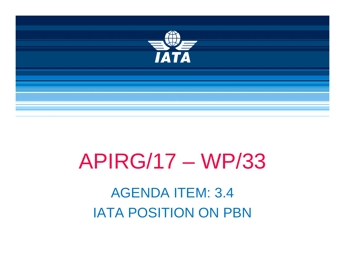

# **APIRG/17 - WP/33 AGENDA ITEM: 3.4 IATA POSITION ON PBN**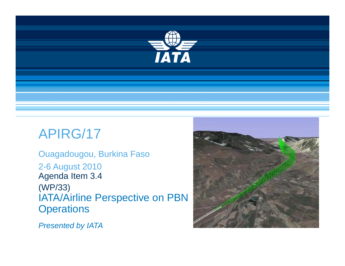

# APIRG/17

Ouagadougou, Burkina Faso 2-6 August 2010 Agenda Item 3.4 (WP/33) IATA/Airline Perspective on PBN **Operations** 



*Presented by IATA*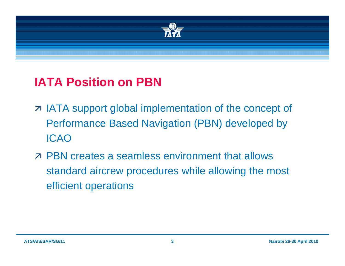

# **IATA Position on PBN**

- z IATA support global implementation of the concept of Performance Based Navigation (PBN) developed by ICAO
- **E PBN creates a seamless environment that allows** standard aircrew procedures while allowing the most efficient operations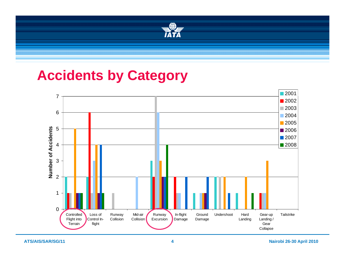

# **Accidents by Category**



**ATS/AIS/SAR/SG/11 4**

**Nairobi 26-30 April 2010**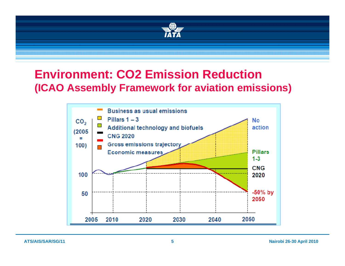

### **Environment: CO2 Emission Reduction (ICAO Assembly Framework for aviation emissions)**

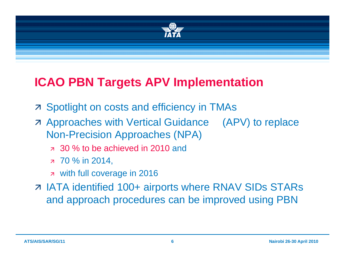

# **ICAO PBN Targets APV Implementation**

- **Z** Spotlight on costs and efficiency in TMAs
- **Example 2 Approaches with Vertical Guidance (APV) to replace** Non-Precision Approaches (NPA)
	- $\alpha$  30 % to be achieved in 2010 and
	- я 70 % in 2014,
	- a with full coverage in 2016
- z IATA identified 100+ airports where RNAV SIDs STARs and approach procedures can be improved using PBN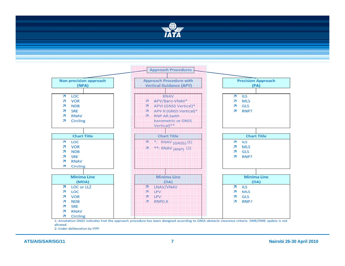



1: Annotation GNSS indicates that the approach procedure has been designed according to GNSS obstacle clearance criteria. DME/DME update is not allowed.

2: Under deliberation by IFPP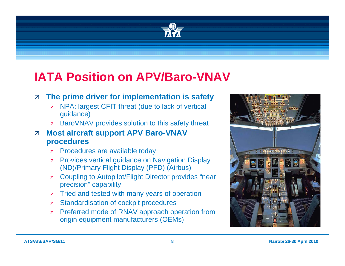

# **IATA Position on APV/Baro-VNAV**

### **7 The prime driver for implementation is safety**

- NPA: largest CFIT threat (due to lack of vertical  $\overline{\mathbf{z}}$ guidance)
- **BaroVNAV provides solution to this safety threat**
- **Most aircraft support APV Baro-VNAV**  $\overline{\mathbf{z}}$ procedures
	- Procedures are available today  $\overline{z}$
	- **7** Provides vertical guidance on Navigation Display (ND)/Primary Flight Display (PFD) (Airbus)
	- **z** Coupling to Autopilot/Flight Director provides "near precision" capability
	- **7** Tried and tested with many years of operation
	- **Example 2** Standardisation of cockpit procedures
	- **EXAMPLE Preferred mode of RNAV approach operation from** origin equipment manufacturers (OEMs)

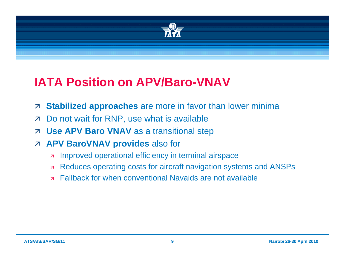

# **IATA Position on APV/Baro-VNAV**

- Stabilized approaches are more in favor than lower minima  $\overline{\mathbf{z}}$
- Do not wait for RNP, use what is available  $\overline{\mathbf{z}}$
- **Use APV Baro VNAV** as a transitional step  $\overline{\mathcal{A}}$
- **7 APV BaroVNAV provides also for** 
	- Improved operational efficiency in terminal airspace  $\overline{\mathbf{z}}$
	- Reduces operating costs for aircraft navigation systems and ANSPs  $\overline{\mathbf{z}}$
	- **Fallback for when conventional Navaids are not available**  $\overline{\mathbf{z}}$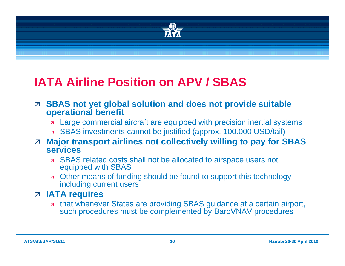

#### **IATA Airline Position on APV / SBAS**

- **EXAL SBAS not yet global solution and does not provide suitable o perational benefit**
	- ÊLarge commercial aircraft are equipped with precision inertial systems
	- z SBAS investments cannot be justified (approx. 100.000 USD/tail)

#### $\overline{\mathcal{A}}$  **Major transport airlines not collectively willing to pay for SBAS services**

- **Exagge SBAS related costs shall not be allocated to airspace users not** equipped with SBAS
- **Ther means of funding should be found to support this technology** including current users

### Ê **IATA requires**

 $\overline{\mathbf{z}}$  that whenever States are providing SBAS guidance at a certain airport, such procedures must be complemented by BaroVNAV procedures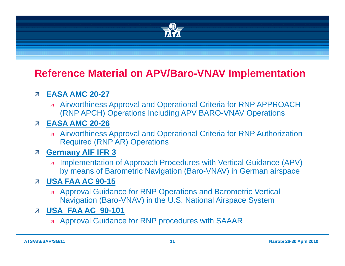

### **Reference Material on APV/Baro-VNAV Implementation**

### 7 EASA AMC 20-27

**A** Airworthiness Approval and Operational Criteria for RNP APPROACH (RNP APCH) Operations Including APV BARO-VNAV Operations

### **7 EASA AMC 20-26**

**A** Airworthiness Approval and Operational Criteria for RNP Authorization **Required (RNP AR) Operations** 

#### **Germany AIF IFR 3**  $\overline{\mathcal{A}}$

**A Implementation of Approach Procedures with Vertical Guidance (APV)** by means of Barometric Navigation (Baro-VNAV) in German airspace

### **7 USA FAA AC 90-15**

**Approval Guidance for RNP Operations and Barometric Vertical** Navigation (Baro-VNAV) in the U.S. National Airspace System

### **7 USA FAA AC 90-101**

**Approval Guidance for RNP procedures with SAAAR**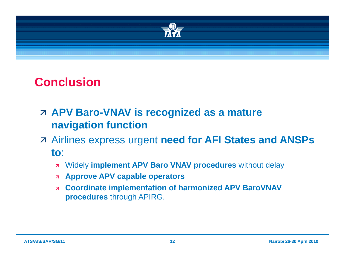

# **Conclusion**

- Ê **APV Baro-VNAV is recognized as a mature navigation function**
- **Z Airlines express urgent need for AFI States and ANSPs to**:
	- Ê Widely **implement APV Baro VNAV procedures** without delay
	- Ê **Approve APV capable operators**
	- $\overline{\mathbf{z}}$  **Coordinate implementation of harmonized APV BaroVNAV procedures** through APIRG.